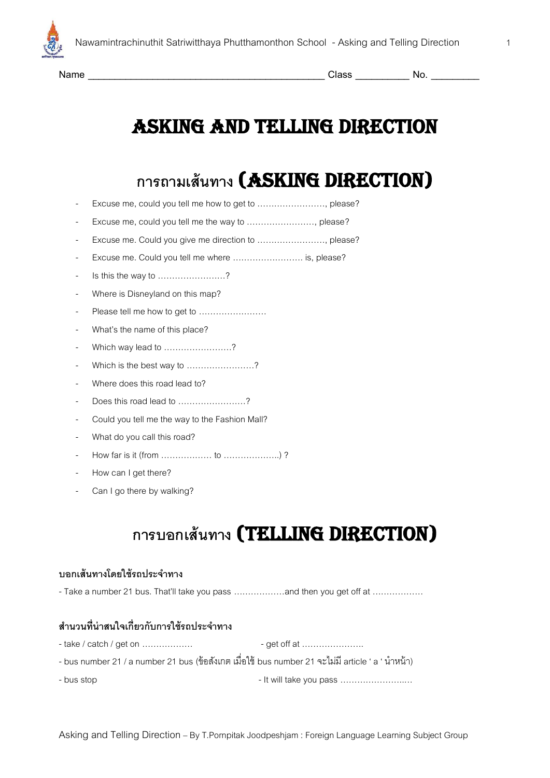

# **การถามเส้นทาง** (Asking Direction)

- Excuse me, could you tell me how to get to ........................, please?
- Excuse me, could you tell me the way to ........................., please?
- Excuse me. Could you give me direction to ……………………, please?
- Excuse me. Could you tell me where .......................... is, please?
- Is this the way to ……………………?
- Where is Disneyland on this map?
- Please tell me how to get to ……………………
- What's the name of this place?
- Which way lead to ……………………?
- Which is the best way to ......................?
- Where does this road lead to?
- Does this road lead to ……………………?
- Could you tell me the way to the Fashion Mall?
- What do you call this road?
- How far is it (from ……………… to ………………..) ?
- How can I get there?
- Can I go there by walking?

## **การบอกเส้นทาง** (Telling Direction)

#### **บอกเส้นทางโดยใช้รถประจ าทาง**

-Take a number 21 bus. That'll take you pass ………………and then you get off at ………………

### ี สำนวนที่น่าสนใจเกี่ยวกับการใช้รถประจำทาง

| - take / catch / get on | - get off at                                                                                      |
|-------------------------|---------------------------------------------------------------------------------------------------|
|                         | - bus number 21 / a number 21 bus (ข้อสังเกต เมื่อใช้ bus number 21 จะไม่มี article ' a ' นำหน้า) |
| - bus stop              | - It will take you pass                                                                           |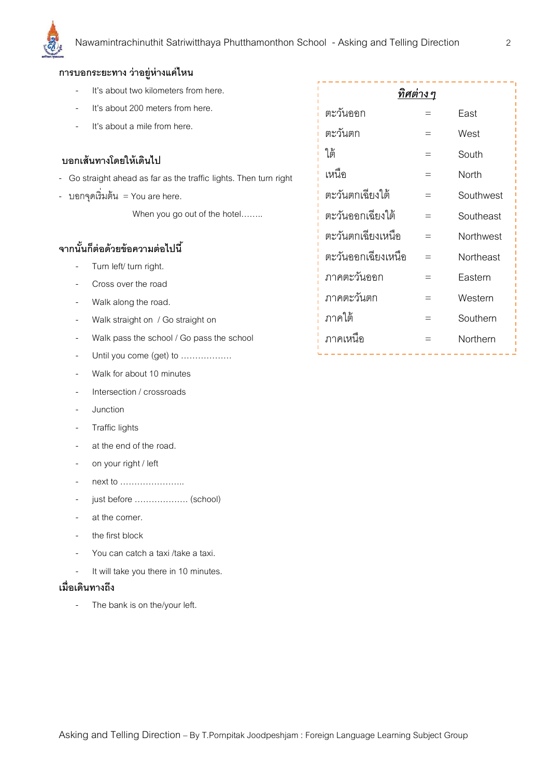

#### **การบอกระยะทาง ว่าอยู่ห่างแค่ไหน**

- It's about two kilometers from here. It's about 200 meters from here. It's about a mile from here. **บอกเส้นทางโดยให้เดินไป** - Go straight ahead as far as the traffic lights. Then turn right - บอกจุดเริ่มต้น = You are here. When you go out of the hotel........ **จากนั้นก็ต่อด้วยข้อความต่อไปนี้** Turn left/ turn right. Cross over the road Walk along the road. Walk straight on / Go straight on *ทิศต่างๆ* ตะวันออก = East ตะวันตก  $=$  West ใต้  $=$  South เหนือ = North ตะวันตกเฉียงใต้ = Southwest ตะวันออกเฉียงใต้ = Southeast ตะวันตกเฉียงเหนือ = Northwest ตะวันออกเฉียงเหนือ = Northeast ภำคตะวันออก = Eastern ภำคตะวันตก = Western ภำคใต้ = Southern
	- Walk pass the school / Go pass the school
	- Until you come (get) to ..................
	- Walk for about 10 minutes
	- Intersection / crossroads
	- **Junction**
	- Traffic lights
	- at the end of the road.
	- on your right / left
	- next to …………………..
	- just before ………………. (school)
	- at the corner.
	- the first block
	- You can catch a taxi /take a taxi.
	- It will take you there in 10 minutes.

#### **เมื่อเดินทางถึง**

The bank is on the/your left.

| <u>ทิศต่าง ๆ</u>   |     |           |  |  |  |  |  |  |  |
|--------------------|-----|-----------|--|--|--|--|--|--|--|
| ตะวันออก           |     | Fast      |  |  |  |  |  |  |  |
| ตะวันตก            |     | West      |  |  |  |  |  |  |  |
| ใต้                |     | South     |  |  |  |  |  |  |  |
| เหนือ              |     | North     |  |  |  |  |  |  |  |
| ตะวันตกเฉียงใต้    | $=$ | Southwest |  |  |  |  |  |  |  |
| ตะวันออกเฉียงใต้   | $=$ | Southeast |  |  |  |  |  |  |  |
| ตะวันตกเฉียงเหนือ  | $=$ | Northwest |  |  |  |  |  |  |  |
| ตะวันออกเฉียงเหนือ |     | Northeast |  |  |  |  |  |  |  |
| ภาคตะวันออก        | $=$ | Eastern   |  |  |  |  |  |  |  |
| ภาคตะวันตก         | $=$ | Western   |  |  |  |  |  |  |  |
| ภาคใต้             | $=$ | Southern  |  |  |  |  |  |  |  |
| ภาคเหนือ           |     | Northern  |  |  |  |  |  |  |  |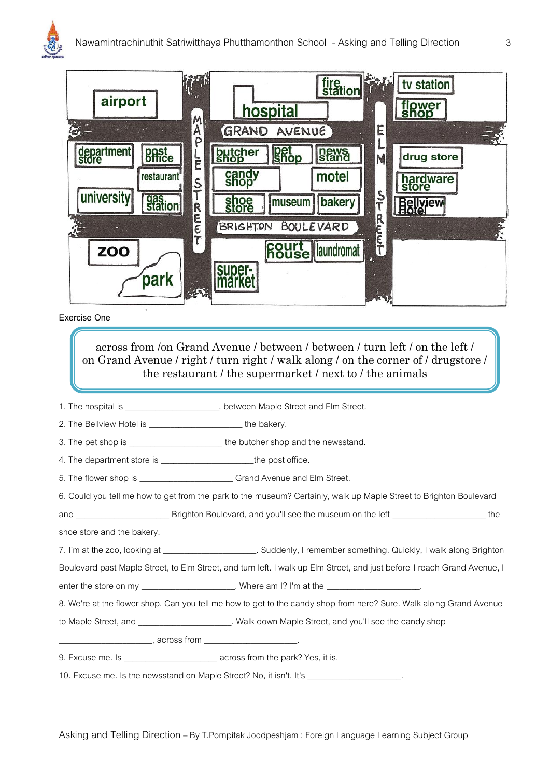



#### **Exercise One**

across from /on Grand Avenue / between / between / turn left / on the left / on Grand Avenue / right / turn right / walk along / on the corner of / drugstore / the restaurant / the supermarket / next to / the animals

- 1. The hospital is \_\_\_\_\_\_\_\_\_\_\_\_\_\_\_\_\_\_\_\_\_\_, between Maple Street and Elm Street.
- 2. The Bellview Hotel is **Example 2.** The bakery.
- 3. The pet shop is \_\_\_\_\_\_\_\_\_\_\_\_\_\_\_\_\_\_\_\_\_\_\_\_\_ the butcher shop and the newsstand.
- 4. The department store is \_\_\_\_\_\_\_\_\_\_\_\_\_\_\_\_\_\_\_\_\_\_\_\_the post office.

5. The flower shop is \_\_\_\_\_\_\_\_\_\_\_\_\_\_\_\_\_\_\_\_\_\_ Grand Avenue and Elm Street.

6. Could you tell me how to get from the park to the museum? Certainly, walk up Maple Street to Brighton Boulevard

and \_\_\_\_\_\_\_\_\_\_\_\_\_\_\_\_\_\_\_\_\_\_ Brighton Boulevard, and you'll see the museum on the left \_\_\_\_\_\_\_\_\_\_\_\_\_\_\_\_\_\_\_\_\_\_ the

shoe store and the bakery.

7. I'm at the zoo, looking at \_\_\_\_\_\_\_\_\_\_\_\_\_\_\_\_\_\_\_\_\_\_\_. Suddenly, I remember something. Quickly, I walk along Brighton

Boulevard past Maple Street, to Elm Street, and turn left. I walk up Elm Street, and just before I reach Grand Avenue, I

enter the store on my \_\_\_\_\_\_\_\_\_\_\_\_\_\_\_\_\_\_\_\_\_\_. Where am I? I'm at the \_\_\_\_\_\_\_\_\_\_\_

8. We're at the flower shop. Can you tell me how to get to the candy shop from here? Sure. Walk along Grand Avenue

to Maple Street, and \_\_\_\_\_\_\_\_\_\_\_\_\_\_\_\_\_\_\_\_\_\_\_. Walk down Maple Street, and you'll see the candy shop

\_\_\_\_\_\_\_\_\_, across from \_\_\_

9. Excuse me. Is \_\_\_\_\_\_\_\_\_\_\_\_\_\_\_\_\_\_\_\_\_\_\_\_\_\_\_\_ across from the park? Yes, it is.

10. Excuse me. Is the newsstand on Maple Street? No, it isn't. It's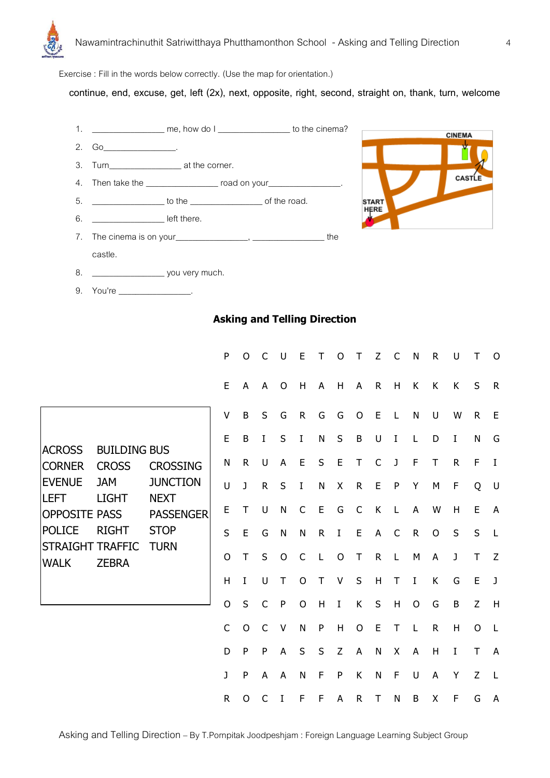

Exercise : Fill in the words below correctly. (Use the map for orientation.)

**continue, end, excuse, get, left (2x), next, opposite, right, second, straight on, thank, turn, welcome**



### **Asking and Telling Direction**

|                                                                                                                                                                                                                                                                        |                                    |                | P            | O            | C            | $\cup$       | E                         | Т            | $\mathsf{O}$ | T              | Z            | C              | N            | ${\sf R}$   | U            | Τ              | O              |
|------------------------------------------------------------------------------------------------------------------------------------------------------------------------------------------------------------------------------------------------------------------------|------------------------------------|----------------|--------------|--------------|--------------|--------------|---------------------------|--------------|--------------|----------------|--------------|----------------|--------------|-------------|--------------|----------------|----------------|
|                                                                                                                                                                                                                                                                        |                                    |                | E            | A            | A            | $\mathsf{O}$ | H                         | A            | H            | A              | $\mathsf{R}$ | H              | K            | K           | K            | S              | $\mathsf{R}$   |
| <b>ACROSS</b><br><b>BUILDING BUS</b><br><b>CORNER</b><br><b>CROSS</b><br><b>EVENUE</b><br><b>JAM</b><br><b>NEXT</b><br><b>ILEFT</b><br><b>LIGHT</b><br><b>OPPOSITE PASS</b><br><b>POLICE</b><br><b>RIGHT</b><br><b>STRAIGHT TRAFFIC</b><br><b>WALK</b><br><b>ZEBRA</b> | <b>CROSSING</b><br><b>JUNCTION</b> | V              | B            | $\sf S$      | G            | $\mathsf{R}$ | G                         | G            | $\circ$      | $\mathsf E$    | L            | N              | U            | W           | ${\sf R}$    | E              |                |
|                                                                                                                                                                                                                                                                        |                                    | E              | B            | $\rm I$      | S            | $\rm I$      | $\mathsf{N}$              | $\sf S$      | B            | U              | I            | L              | D            | I           | N            | G              |                |
|                                                                                                                                                                                                                                                                        |                                    | N              | $\mathsf{R}$ | U            | A            | E            | $\sf S$                   | $\mathsf E$  | T            | $\mathsf{C}$   | J            | $\mathsf F$    | $\mathsf T$  | $\mathsf R$ | $\mathsf{F}$ | $\bf{I}$       |                |
|                                                                                                                                                                                                                                                                        |                                    | U              | J            | $\mathsf R$  | S            | $\mathbf I$  | $\mathsf{N}$              | X            | $\mathsf R$  | E              | $\mathsf{P}$ | Y              | M            | F           | Q            | U              |                |
|                                                                                                                                                                                                                                                                        | <b>PASSENGER</b>                   | E              | Τ            | U            | $\mathsf{N}$ | $\mathsf{C}$ | E                         | G            | $\mathsf{C}$ | K              | L            | $\overline{A}$ | W            | H           | $\mathsf E$  | $\overline{A}$ |                |
|                                                                                                                                                                                                                                                                        | <b>STOP</b><br><b>TURN</b>         | S              | E            | G            | ${\sf N}$    | ${\sf N}$    | $\mathsf{R}$              | I            | E            | A              | C            | $\mathsf{R}$   | $\mathsf{O}$ | S           | S            | $\mathsf{L}$   |                |
|                                                                                                                                                                                                                                                                        |                                    | 0              | Τ            | S            | $\mathsf{O}$ | $\mathsf{C}$ | $\mathsf{L}$              | $\circ$      | $\top$       | ${\sf R}$      | L            | M              | A            | J           | $\top$       | Z              |                |
|                                                                                                                                                                                                                                                                        |                                    | H              | $\mathbf I$  | U            | Τ            | O            | Τ                         | V            | $\sf S$      | $\mathsf{H}$   | $\mathsf{T}$ | $\rm I$        | K            | G           | E            | $\mathsf J$    |                |
|                                                                                                                                                                                                                                                                        |                                    | $\overline{O}$ | S            | $\mathsf{C}$ | $\mathsf{P}$ | $\mathsf{O}$ | $\boldsymbol{\mathsf{H}}$ | $\;$ I       | К            | $\sf S$        | H            | $\mathsf{O}$   | G            | B           | Z            | H              |                |
|                                                                                                                                                                                                                                                                        |                                    |                | $\mathsf C$  | $\mathsf{O}$ | $\mathsf{C}$ | $\vee$       | N                         | $\mathsf{P}$ | H            | $\overline{O}$ | E            | T              | L            | $\mathsf R$ | H            | O              | $\mathsf{L}$   |
|                                                                                                                                                                                                                                                                        |                                    |                | D            | P            | ${\sf P}$    | A            | $\sf S$                   | S            | Z            | A              | N            | X              | A            | H           | I            | T              | $\overline{A}$ |
|                                                                                                                                                                                                                                                                        |                                    |                | J            | P            | A            | A            | N                         | F            | ${\sf P}$    | К              | N            | F              | U            | A           | Υ            | Z              | $\mathsf{L}$   |
|                                                                                                                                                                                                                                                                        |                                    |                | $\mathsf{R}$ | O            | C            | I            | F                         | F            | A            | R              | T            | N              | B            | X           | F            | G              | A              |